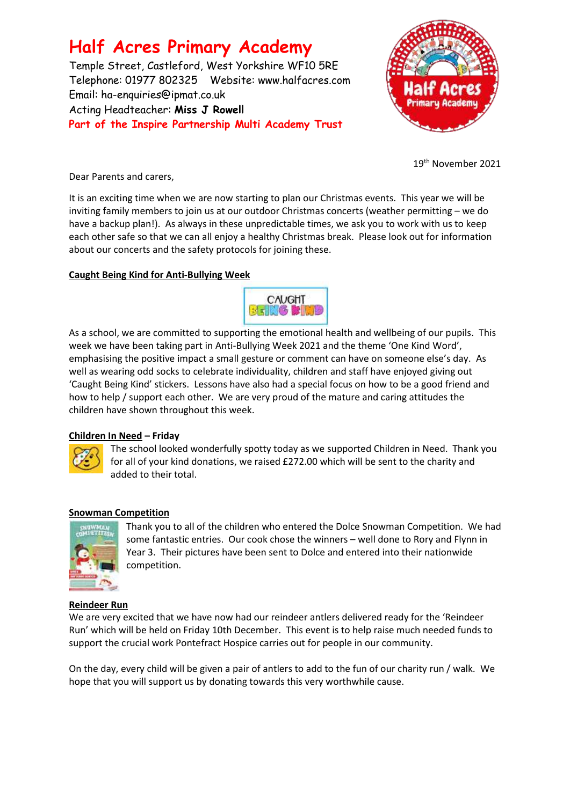# **Half Acres Primary Academy**

Temple Street, Castleford, West Yorkshire WF10 5RE Telephone: 01977 802325 Website: [www.halfacres.com](http://www.halfacres.com/) Email: ha-enquiries@ipmat.co.uk Acting Headteacher: **Miss J Rowell Part of the Inspire Partnership Multi Academy Trust**



19 th November 2021

Dear Parents and carers,

It is an exciting time when we are now starting to plan our Christmas events. This year we will be inviting family members to join us at our outdoor Christmas concerts (weather permitting – we do have a backup plan!). As always in these unpredictable times, we ask you to work with us to keep each other safe so that we can all enjoy a healthy Christmas break. Please look out for information about our concerts and the safety protocols for joining these.

## **Caught Being Kind for Anti-Bullying Week**



As a school, we are committed to supporting the emotional health and wellbeing of our pupils. This week we have been taking part in Anti-Bullying Week 2021 and the theme 'One Kind Word', emphasising the positive impact a small gesture or comment can have on someone else's day. As well as wearing odd socks to celebrate individuality, children and staff have enjoyed giving out 'Caught Being Kind' stickers. Lessons have also had a special focus on how to be a good friend and how to help / support each other. We are very proud of the mature and caring attitudes the children have shown throughout this week.

## **Children In Need – Friday**



The school looked wonderfully spotty today as we supported Children in Need. Thank you for all of your kind donations, we raised £272.00 which will be sent to the charity and added to their total.

## **Snowman Competition**



Thank you to all of the children who entered the Dolce Snowman Competition. We had some fantastic entries. Our cook chose the winners – well done to Rory and Flynn in Year 3. Their pictures have been sent to Dolce and entered into their nationwide competition.

## **Reindeer Run**

We are very excited that we have now had our reindeer antlers delivered ready for the 'Reindeer Run' which will be held on Friday 10th December. This event is to help raise much needed funds to support the crucial work Pontefract Hospice carries out for people in our community.

On the day, every child will be given a pair of antlers to add to the fun of our charity run / walk. We hope that you will support us by donating towards this very worthwhile cause.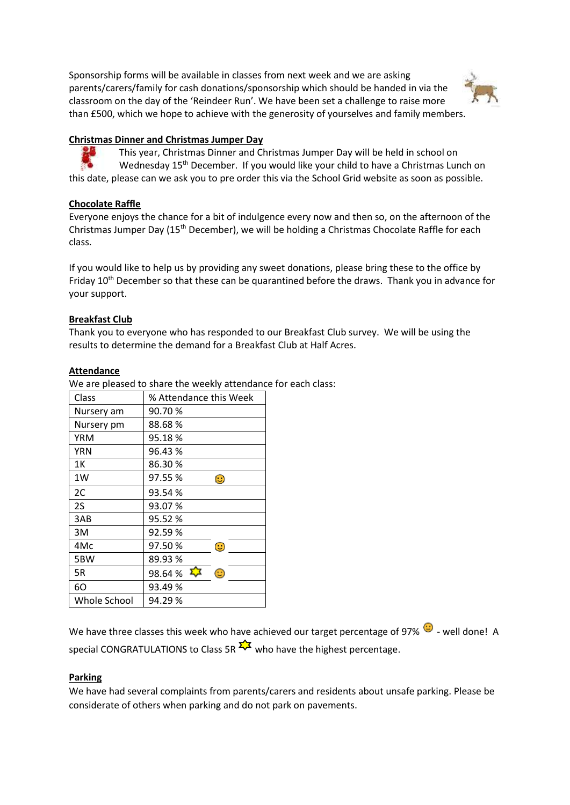Sponsorship forms will be available in classes from next week and we are asking parents/carers/family for cash donations/sponsorship which should be handed in via the classroom on the day of the 'Reindeer Run'. We have been set a challenge to raise more than £500, which we hope to achieve with the generosity of yourselves and family members.



## **Christmas Dinner and Christmas Jumper Day**

This year, Christmas Dinner and Christmas Jumper Day will be held in school on Wednesday 15<sup>th</sup> December. If you would like your child to have a Christmas Lunch on this date, please can we ask you to pre order this via the School Grid website as soon as possible.

## **Chocolate Raffle**

Everyone enjoys the chance for a bit of indulgence every now and then so, on the afternoon of the Christmas Jumper Day  $(15<sup>th</sup> December)$ , we will be holding a Christmas Chocolate Raffle for each class.

If you would like to help us by providing any sweet donations, please bring these to the office by Friday 10<sup>th</sup> December so that these can be quarantined before the draws. Thank you in advance for your support.

#### **Breakfast Club**

Thank you to everyone who has responded to our Breakfast Club survey. We will be using the results to determine the demand for a Breakfast Club at Half Acres.

#### **Attendance**

We are pleased to share the weekly attendance for each class:

| Class        | % Attendance this Week |
|--------------|------------------------|
| Nursery am   | 90.70%                 |
| Nursery pm   | 88.68%                 |
| YRM          | 95.18%                 |
| <b>YRN</b>   | 96.43 %                |
| 1Κ           | 86.30%                 |
| 1W           | 97.55 %<br>٢           |
| 2C           | 93.54%                 |
| 2S           | 93.07%                 |
| 3AB          | 95.52%                 |
| 3M           | 92.59%                 |
| 4Mc          | 97.50%<br>$\odot$      |
| 5BW          | 89.93%                 |
| 5R           | ⊕<br>98.64%            |
| 60           | 93.49%                 |
| Whole School | 94.29%                 |

We have three classes this week who have achieved our target percentage of 97%  $\bullet$  - well done! A special CONGRATULATIONS to Class 5R  $\frac{1}{2}$  who have the highest percentage.

#### **Parking**

We have had several complaints from parents/carers and residents about unsafe parking. Please be considerate of others when parking and do not park on pavements.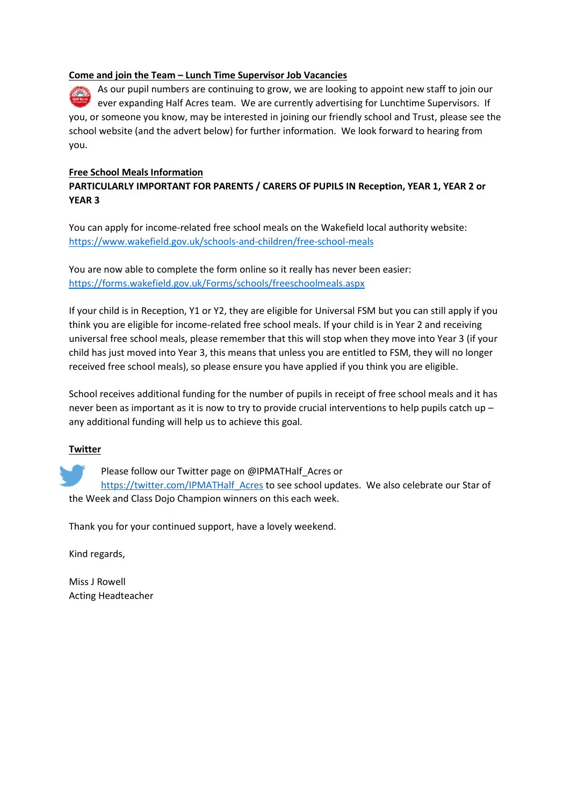#### **Come and join the Team – Lunch Time Supervisor Job Vacancies**

As our pupil numbers are continuing to grow, we are looking to appoint new staff to join our ever expanding Half Acres team. We are currently advertising for Lunchtime Supervisors. If you, or someone you know, may be interested in joining our friendly school and Trust, please see the school website (and the advert below) for further information. We look forward to hearing from you.

### **Free School Meals Information**

## **PARTICULARLY IMPORTANT FOR PARENTS / CARERS OF PUPILS IN Reception, YEAR 1, YEAR 2 or YEAR 3**

You can apply for income-related free school meals on the Wakefield local authority website: <https://www.wakefield.gov.uk/schools-and-children/free-school-meals>

You are now able to complete the form online so it really has never been easier: <https://forms.wakefield.gov.uk/Forms/schools/freeschoolmeals.aspx>

If your child is in Reception, Y1 or Y2, they are eligible for Universal FSM but you can still apply if you think you are eligible for income-related free school meals. If your child is in Year 2 and receiving universal free school meals, please remember that this will stop when they move into Year 3 (if your child has just moved into Year 3, this means that unless you are entitled to FSM, they will no longer received free school meals), so please ensure you have applied if you think you are eligible.

School receives additional funding for the number of pupils in receipt of free school meals and it has never been as important as it is now to try to provide crucial interventions to help pupils catch up – any additional funding will help us to achieve this goal.

#### **Twitter**

Please follow our Twitter page on @IPMATHalf Acres or

https://twitter.com/IPMATHalf Acres to see school updates. We also celebrate our Star of the Week and Class Dojo Champion winners on this each week.

Thank you for your continued support, have a lovely weekend.

Kind regards,

Miss J Rowell Acting Headteacher